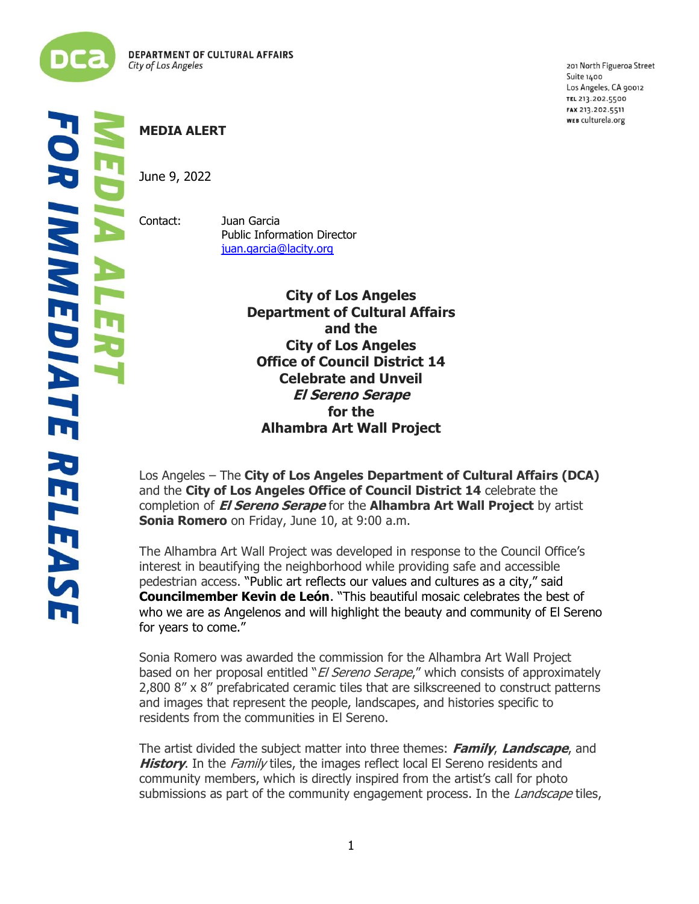

į

**R IMMEDIATE RELEAS** L

## **MEDIA ALERT**

June 9, 2022

Contact: Juan Garcia Public Information Director [juan.garcia@lacity.org](mailto:juan.garcia@lacity.org)

> **City of Los Angeles Department of Cultural Affairs and the City of Los Angeles Office of Council District 14 Celebrate and Unveil El Sereno Serape for the Alhambra Art Wall Project**

Los Angeles – The **City of Los Angeles Department of Cultural Affairs (DCA)** and the **City of Los Angeles Office of Council District 14** celebrate the completion of **El Sereno Serape** for the **Alhambra Art Wall Project** by artist **Sonia Romero** on Friday, June 10, at 9:00 a.m.

The Alhambra Art Wall Project was developed in response to the Council Office's interest in beautifying the neighborhood while providing safe and accessible pedestrian access. "Public art reflects our values and cultures as a city," said **Councilmember Kevin de León**. "This beautiful mosaic celebrates the best of who we are as Angelenos and will highlight the beauty and community of El Sereno for years to come."

Sonia Romero was awarded the commission for the Alhambra Art Wall Project based on her proposal entitled "*El Sereno Serape*," which consists of approximately 2,800 8" x 8" prefabricated ceramic tiles that are silkscreened to construct patterns and images that represent the people, landscapes, and histories specific to residents from the communities in El Sereno.

The artist divided the subject matter into three themes: **Family**, **Landscape**, and **History**. In the *Family* tiles, the images reflect local El Sereno residents and community members, which is directly inspired from the artist's call for photo submissions as part of the community engagement process. In the *Landscape* tiles,

201 North Figueroa Street Suite 1400 Los Angeles, CA 90012 TEL 213.202.5500 FAX 213.202.5511 WEB culturela.org